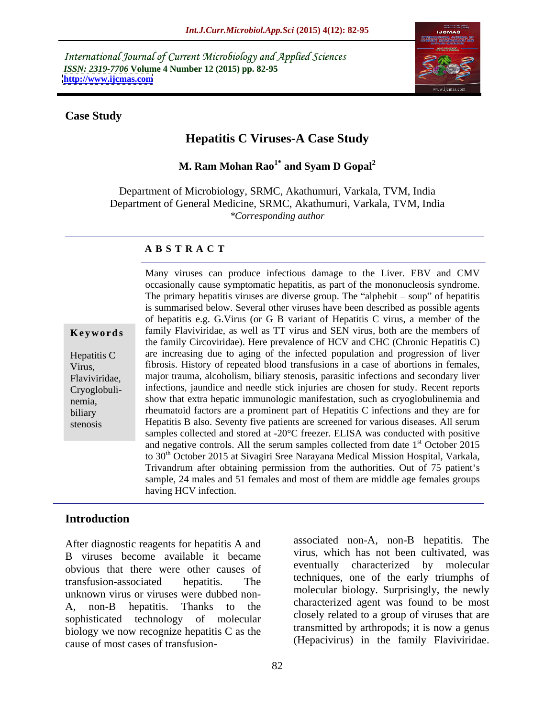International Journal of Current Microbiology and Applied Sciences *ISSN: 2319-7706* **Volume 4 Number 12 (2015) pp. 82-95 <http://www.ijcmas.com>**



### **Case Study**

# **Hepatitis C Viruses-A Case Study**

**M. Ram Mohan Rao1\* and Syam D Gopal<sup>2</sup>**

Department of Microbiology, SRMC, Akathumuri, Varkala, TVM, India Department of General Medicine, SRMC, Akathumuri, Varkala, TVM, India *\*Corresponding author*

### **A B S T R A C T**

stenosis

Many viruses can produce infectious damage to the Liver. EBV and CMV occasionally cause symptomatic hepatitis, as part of the mononucleosis syndrome. The primary hepatitis viruses are diverse group. The "alphebit  $-$  soup" of hepatitis is summarised below. Several other viruses have been described as possible agents of hepatitis e.g. G.Virus (or G B variant of Hepatitis C virus, a member of the **Keywords** family Flaviviridae, as well as TT virus and SEN virus, both are the members of the family Circoviridae). Here prevalence of HCV and CHC (Chronic Hepatitis C) Hepatitis C are increasing due to aging of the infected population and progression of liver fibrosis. History of repeated blood transfusions in a case of abortions in females, Virus, major trauma, alcoholism, biliary stenosis, parasitic infections and secondary liver Flaviviridae, infections, jaundice and needle stick injuries are chosen for study. Recent reports Cryoglobuli show that extra hepatic immunologic manifestation, such as cryoglobulinemia and nemia, biliary **heumatoid factors are a prominent part of Hepatitis C** infections and they are for Hepatitis B also. Seventy five patients are screened for various diseases. All serum samples collected and stored at -20°C freezer. ELISA was conducted with positive and negative controls. All the serum samples collected from date 1<sup>st</sup> October 2015 st October 2015 to 30 th October 2015 at Sivagiri Sree Narayana Medical Mission Hospital, Varkala, Trivandrum after obtaining permission from the authorities. Out of 75 patient's sample, 24 males and 51 females and most of them are middle age females groups having HCV infection.

### **Introduction**

B viruses become available it became obvious that there were other causes of transfusion-associated hepatitis. The <sup>techniques</sup>, one of the early triumphs of unknown virus or viruses were dubbed non- A, non-B hepatitis. Thanks to the characterized agent was found to be most sophisticated technology of molecular biology we now recognize hepatitis C as the After diagnostic reagents for hepatitis A and<br>
B viruses become available it became<br>
obvious that there were other causes of<br>
transfusion-associated hepatitis. The<br>
transfusion-associated hepatitis. The<br>
unknown virus or v

After diagnostic reagents for hepatitis A and associated non-A, non-B hepatitis. The virus, which has not been cultivated, was eventually characterized by molecular techniques, one of the early triumphs of molecular biology. Surprisingly, the newly characterized agent was found to be most closely related to a group of viruses that are transmitted by arthropods; it is now a genus (Hepacivirus) in the family Flaviviridae.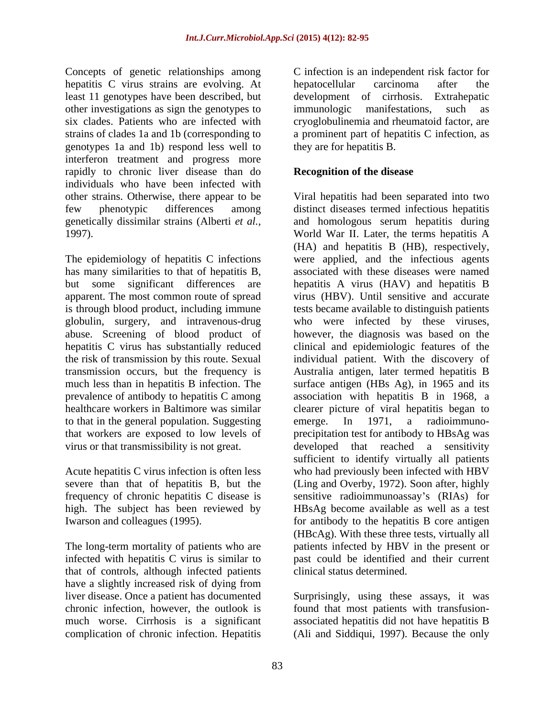Concepts of genetic relationships among hepatitis C virus strains are evolving. At hepatocellular carcinoma after the least 11 genotypes have been described, but other investigations as sign the genotypes to immunologic manifestations, such as six clades. Patients who are infected with cryoglobulinemia and rheumatoid factor, are strains of clades 1a and 1b (corresponding to a prominent part of hepatitis C infection, as genotypes 1a and 1b) respond less well to interferon treatment and progress more rapidly to chronic liver disease than do individuals who have been infected with other strains. Otherwise, there appear to be

has many similarities to that of hepatitis B, abuse. Screening of blood product of hepatitis C virus has substantially reduced healthcare workers in Baltimore was similar to that in the general population. Suggesting emerge. In 1971, a radioimmuno-

infected with hepatitis C virus is similar to that of controls, although infected patients have a slightly increased risk of dying from liver disease. Once a patient has documented Surprisingly, using these assays, it was chronic infection, however, the outlook is found that most patients with transfusion much worse. Cirrhosis is a significant associated hepatitis did not have hepatitis B complication of chronic infection. Hepatitis (Ali and Siddiqui, 1997). Because the only

C infection is an independent risk factor for hepatocellular carcinoma after the development of cirrhosis. immunologic manifestations, such as they are for hepatitis B.

# **Recognition of the disease**

few phenotypic differences among distinct diseases termed infectious hepatitis genetically dissimilar strains (Alberti *et al.,* and homologous serum hepatitis during 1997). World War II. Later, the terms hepatitis A The epidemiology of hepatitis C infections were applied, and the infectious agents but some significant differences are hepatitis A virus (HAV) and hepatitis B apparent. The most common route of spread virus (HBV). Until sensitive and accurate is through blood product, including immune tests became available to distinguish patients globulin, surgery, and intravenous-drug who were infected by these viruses, the risk of transmission by this route. Sexual individual patient. With the discovery of transmission occurs, but the frequency is Australia antigen, later termed hepatitis B much less than in hepatitis B infection. The surface antigen (HBs Ag), in 1965 and its prevalence of antibody to hepatitis C among association with hepatitis B in 1968, a that workers are exposed to low levels of precipitation test for antibody to HBsAg was virus or that transmissibility is not great. developed that reached a sensitivity Acute hepatitis C virus infection is often less who had previously been infected with HBV severe than that of hepatitis B, but the (Ling and Overby, 1972). Soon after, highly frequency of chronic hepatitis C disease is sensitive radioimmunoassay's (RIAs) for high. The subject has been reviewed by HBsAg become available as well as a test Iwarson and colleagues (1995). for antibody to the hepatitis B core antigen The long-term mortality of patients who are patients infected by HBV in the present or Viral hepatitis had been separated into two (HA) and hepatitis B (HB), respectively, associated with these diseases were named however, the diagnosis was based on the clinical and epidemiologic features of the clearer picture of viral hepatitis began to emerge. In 1971, a radioimmuno sufficient to identify virtually all patients (HBcAg). With these three tests, virtually all past could be identified and their current clinical status determined.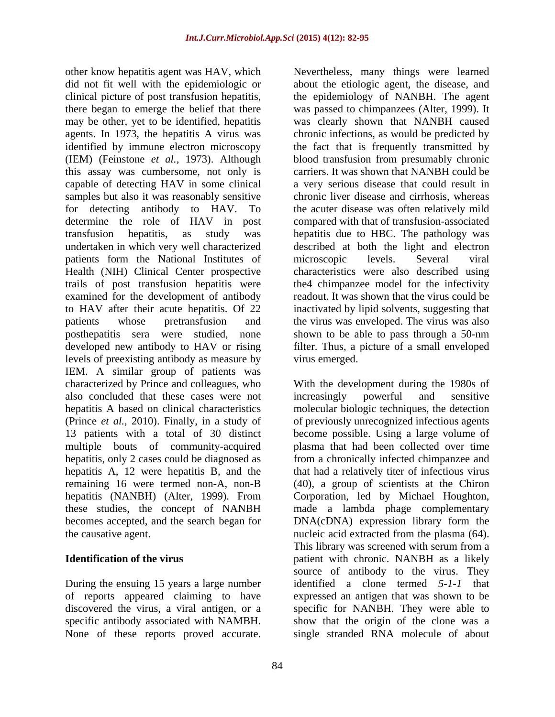did not fit well with the epidemiologic or about the etiologic agent, the disease, and clinical picture of post transfusion hepatitis, the epidemiology of NANBH. The agent there began to emerge the belief that there was passed to chimpanzees (Alter, 1999). It may be other, yet to be identified, hepatitis agents. In 1973, the hepatitis A virus was chronic infections, as would be predicted by identified by immune electron microscopy the fact that is frequently transmitted by (IEM) (Feinstone *et al.,* 1973). Although blood transfusion from presumably chronic this assay was cumbersome, not only is capable of detecting HAV in some clinical samples but also it was reasonably sensitive chronic liver disease and cirrhosis, whereas for detecting antibody to HAV. To the acuter disease was often relatively mild determine the role of HAV in post compared with that of transfusion-associated transfusion hepatitis, as study was hepatitis due to HBC. The pathology was undertaken in which very well characterized described at both the light and electron patients form the National Institutes of microscopic levels. Several viral Health (NIH) Clinical Center prospective characteristics were also described using trails of post transfusion hepatitis were the4 chimpanzee model for the infectivity examined for the development of antibody readout. It was shown that the virus could be to HAV after their acute hepatitis. Of 22 inactivated by lipid solvents, suggesting that patients whose pretransfusion and the virus was enveloped. The virus was also posthepatitis sera were studied, none shown to be able to pass through a 50-nm developed new antibody to HAV or rising filter. Thus, a picture of a small enveloped levels of preexisting antibody as measure by IEM. A similar group of patients was characterized by Prince and colleagues, who With the development during the 1980s of also concluded that these cases were not hepatitis A based on clinical characteristics molecular biologic techniques, the detection (Prince *et al.,* 2010). Finally, in a study of 13 patients with a total of 30 distinct become possible. Using a large volume of multiple bouts of community-acquired plasma that had been collected over time hepatitis, only 2 cases could be diagnosed as from a chronically infected chimpanzee and hepatitis A, 12 were hepatitis B, and the that had a relatively titer of infectious virus remaining 16 were termed non-A, non-B (40), a group of scientists at the Chiron hepatitis (NANBH) (Alter, 1999). From Corporation, led by Michael Houghton, these studies, the concept of NANBH made a lambda phage complementary becomes accepted, and the search began for DNA(cDNA) expression library form the other know hepatitics agent was HAV, which Weenheless, many things were learned through the spherimal particular proved accurates the proved accurates of the simulation of the set report of the set report of the set of th

During the ensuing 15 years alarge number

other know hepatitis agent was HAV, which was clearly shown that NANBH caused carriers. It was shown that NANBH could be a very serious disease that could result in microscopic levels. Several viral virus emerged.

the causative agent. nucleic acid extracted from the plasma (64). **Identification of the virus** patient with chronic. NANBH as a likely of reports appeared claiming to have expressed an antigen that was shown to be discovered the virus, a viral antigen, or a specific for NANBH. They were able to specific antibody associated with NAMBH. Show that the origin of the clone was a increasingly powerful and sensitive of previously unrecognized infectious agents This library was screened with serum from a source of antibody to the virus. They identified a clone termed *5-1-1* that single stranded RNA molecule of about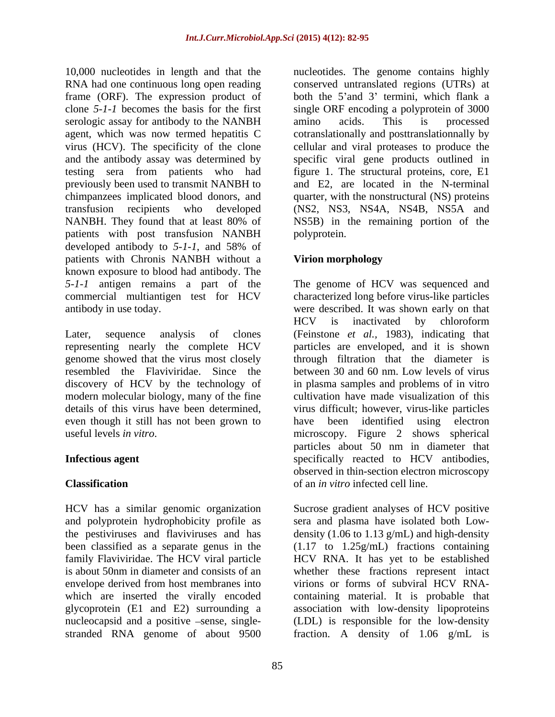10,000 nucleotides in length and that the nucleotides. The genome contains highly RNA had one continuous long open reading conserved untranslated regions (UTRs) at frame (ORF). The expression product of both the 5'and 3' termini, which flank a clone *5-1-1* becomes the basis for the first single ORF encoding a polyprotein of 3000 serologic assay for antibody to the NANBH amino acids. This is processed agent, which was now termed hepatitis C cotranslationally and posttranslationnally by virus (HCV). The specificity of the clone cellular and viral proteases to produce the and the antibody assay was determined by specific viral gene products outlined in testing sera from patients who had figure 1. The structural proteins, core, E1 previously been used to transmit NANBH to and E2, are located in the N-terminal chimpanzees implicated blood donors, and quarter, with the nonstructural (NS) proteins transfusion recipients who developed (NS2, NS3, NS4A, NS4B, NS5A and NANBH. They found that at least 80% of NS5B) in the remaining portion of the patients with post transfusion NANBH developed antibody to *5-1-1*, and 58% of patients with Chronis NANBH without a Virion morphology known exposure to blood had antibody. The *5-1-1* antigen remains a part of the The genome of HCV was sequenced and commercial multiantigen test for HCV characterized long before virus-like particles

discovery of HCV by the technology of

and polyprotein hydrophobicity profile as family Flaviviridae. The HCV viral particle nucleocapsid and a positive -sense, single-<br>stranded RNA genome of about 9500 stranded RNA genome of about 9500 fraction. A density of 1.06 g/mL is

amino acids. This is processed NS5B) in the remaining portion of the polyprotein.

# **Virion morphology**

antibody in use today. were described. It was shown early on that Later, sequence analysis of clones (Feinstone *et al.,* 1983), indicating that representing nearly the complete HCV particles are enveloped, and it is shown genome showed that the virus most closely through filtration that the diameter is resembled the Flaviviridae. Since the between 30 and 60 nm. Low levels of virus modern molecular biology, many of the fine cultivation have made visualization of this details of this virus have been determined, virus difficult; however, virus-like particles<br>even though it still has not been grown to have been identified using electron useful levels *in vitro*. microscopy. Figure 2 shows spherical **Infectious agent** specifically reacted to HCV antibodies, **Classification**  of an *in vitro* infected cell line. HCV is inactivated by chloroform in plasma samples and problems of in vitro virus difficult; however, virus-like particles have been identified using electron particles about 50 nm in diameter that observed in thin-section electron microscopy

HCV has a similar genomic organization Sucrose gradient analyses of HCV positive the pestiviruses and flaviviruses and has density (1.06 to 1.13 g/mL) and high-density been classified as a separate genus in the (1.17 to 1.25g/mL) fractions containing is about 50nm in diameter and consists of an whether these fractions represent intact envelope derived from host membranes into virions or forms of subviral HCV RNAwhich are inserted the virally encoded containing material. It is probable that glycoprotein (E1 and E2) surrounding a association with low-density lipoproteins sera and plasma have isolated both Low- HCV RNA. It has yet to be established (LDL) is responsible for the low-density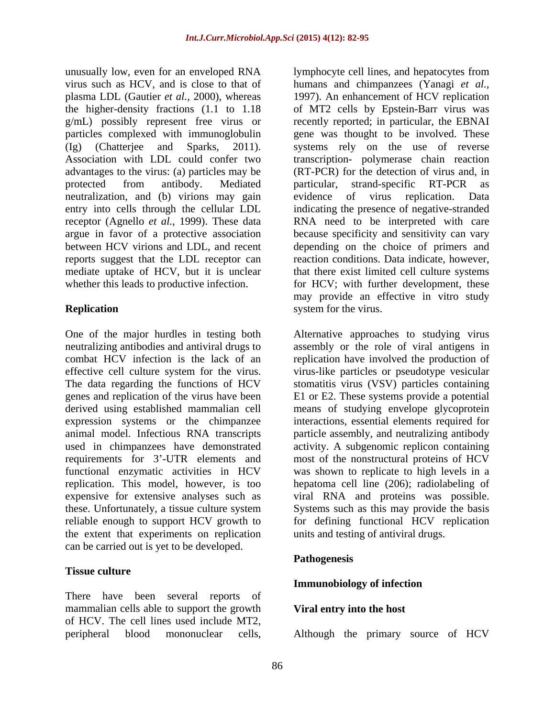unusually low, even for an enveloped RNA lymphocyte cell lines, and hepatocytes from virus such as HCV, and is close to that of humans and chimpanzees (Yanagi *et al.,* plasma LDL (Gautier *et al.,* 2000), whereas 1997). An enhancement of HCV replication the higher-density fractions (1.1 to 1.18 of MT2 cells by Epstein-Barr virus was g/mL) possibly represent free virus or recently reported; in particular, the EBNAI particles complexed with immunoglobulin gene was thought to be involved. These (Ig) (Chatterjee and Sparks, 2011). systems rely on the use of reverse Association with LDL could confer two transcription- polymerase chain reaction advantages to the virus: (a) particles may be protected from antibody. Mediated particular, strand-specific RT-PCR as neutralization, and (b) virions may gain evidence of virus replication. Data entry into cells through the cellular LDL indicating the presence of negative-stranded receptor (Agnello *et al.,* 1999). These data argue in favor of a protective association because specificity and sensitivity can vary between HCV virions and LDL, and recent reports suggest that the LDL receptor can reaction conditions. Data indicate, however, mediate uptake of HCV, but it is unclear that there exist limited cell culture systems

requirements for 3'-UTR elements and expensive for extensive analyses such as reliable enough to support HCV growth to the extent that experiments on replication can be carried out is yet to be developed.

## **Tissue culture**

There have been several reports of mammalian cells able to support the growth of HCV. The cell lines used include MT2,

whether this leads to productive infection. The for HCV; with further development, these **Replication** system for the virus. (RT-PCR) for the detection of virus and, in particular, strand-specific RT-PCR as evidence of virus replication. Data RNA need to be interpreted with care depending on the choice of primers and may provide an effective in vitro study system for the virus.

One of the major hurdles in testing both Alternative approaches to studying virus neutralizing antibodies and antiviral drugs to assembly or the role of viral antigens in combat HCV infection is the lack of an replication have involved the production of effective cell culture system for the virus. virus-like particles or pseudotype vesicular The data regarding the functions of HCV stomatitis virus (VSV) particles containing genes and replication of the virus have been E1 or E2. These systems provide a potential derived using established mammalian cell means of studying envelope glycoprotein expression systems or the chimpanzee interactions, essential elements required for animal model. Infectious RNA transcripts particle assembly, and neutralizing antibody used in chimpanzees have demonstrated activity. A subgenomic replicon containing functional enzymatic activities in HCV was shown to replicate to high levels in a replication. This model, however, is too hepatoma cell line (206); radiolabeling of these. Unfortunately, a tissue culture system Systems such as this may provide the basis most of the nonstructural proteins of HCV viral RNA and proteins was possible. Systems such as this may provide the basis for defining functional HCV replication units and testing of antiviral drugs.

## **Pathogenesis**

## **Immunobiology of infection**

## **Viral entry into the host**

peripheral blood mononuclear cells, Although the primary source of HCV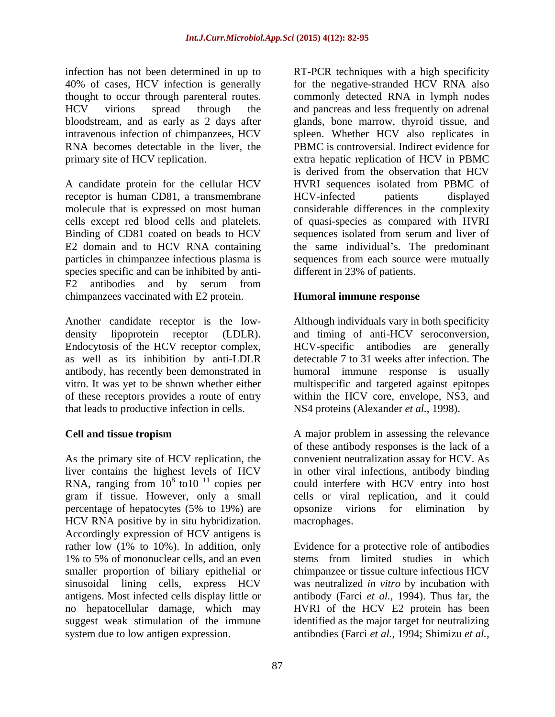A candidate protein for the cellular HCV receptor is human CD81, a transmembrane HCV-infected patients displayed cells except red blood cells and platelets. E2 domain and to HCV RNA containing species specific and can be inhibited by anti- E2 antibodies and by serum from chimpanzees vaccinated with E2 protein.

that leads to productive infection in cells.

As the primary site of HCV replication, the HCV RNA positive by in situ hybridization. Accordingly expression of HCV antigens is smaller proportion of biliary epithelial or system due to low antigen expression. antibodies (Farci *et al.,* 1994; Shimizu *et al.,*

infection has not been determined in up to RT-PCR techniques with a high specificity 40% of cases, HCV infection is generally for the negative-stranded HCV RNA also thought to occur through parenteral routes. commonly detected RNA in lymph nodes HCV virions spread through the and pancreas and less frequently on adrenal bloodstream, and as early as 2 days after glands, bone marrow, thyroid tissue, and intravenous infection of chimpanzees, HCV spleen.Whether HCV also replicates in RNA becomes detectable in the liver, the PBMC is controversial. Indirect evidence for primary site of HCV replication. extra hepatic replication of HCV in PBMC molecule that is expressed on most human considerable differences in the complexity Binding of CD81 coated on beads to HCV sequences isolated from serum and liver of particles in chimpanzee infectious plasma is sequences from each source were mutually is derived from the observation that HCV HVRI sequences isolated from PBMC of HCV-infected patients displayed of quasi-species as compared with HVRI the same individual's. The predominant different in 23% of patients.

## **Humoral immune response**

Another candidate receptor is the low- Although individuals vary in both specificity density lipoprotein receptor (LDLR). and timing of anti-HCV seroconversion,<br>Endocytosis of the HCV receptor complex, HCV-specific antibodies are generally as well as its inhibition by anti-LDLR detectable 7 to 31 weeks after infection. The antibody, has recently been demonstrated in humoral immune response is usually vitro. It was yet to be shown whether either multispecific and targeted against epitopes of these receptors provides a route of entry within the HCV core, envelope, NS3, and and timing of anti-HCV seroconversion, HCV-specific antibodies are generally NS4 proteins (Alexander *et al.,* 1998).

**Cell and tissue tropism** A major problem in assessing the relevance liver contains the highest levels of HCV in other viral infections,antibody binding RNA, ranging from  $10^8$  to10  $^{11}$  copies per could interfere with HCV entry into host gram if tissue. However, only a small cells or viral replication, and it could percentage of hepatocytes (5% to 19%) are A major problem in assessing the relevance of these antibody responses is the lack of a convenient neutralization assay for HCV. As opsonize virions for elimination by macrophages.

rather low (1% to 10%). In addition, only Evidence for a protective role of antibodies 1% to 5% of mononuclear cells, and an even stems from limited studies in which sinusoidal lining cells, express HCV was neutralized *in vitro* by incubation with antigens. Most infected cells display little or antibody (Farci *et al.,* 1994).Thus far, the no hepatocellular damage, which may HVRI of the HCV E2 protein has been suggest weak stimulation of the immune identified as the major target for neutralizing stems from limited studies in which chimpanzee or tissue culture infectious HCV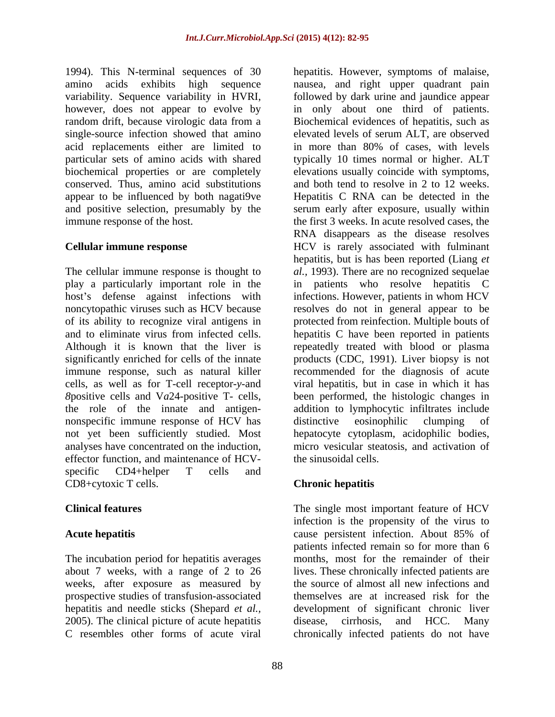1994). This N-terminal sequences of 30 hepatitis. However, symptoms of malaise, amino acids exhibits high sequence hausea, and right upper quadrant pain variability. Sequence variability in HVRI, followed by dark urine and jaundice appear however, does not appear to evolve by in only about one third of patients. random drift, because virologic data from a Biochemical evidences of hepatitis, such as single-source infection showed that amino elevated levels of serum ALT, are observed acid replacements either are limited to in more than 80% of cases, with levels particular sets of amino acids with shared typically 10 times normal or higher. ALT biochemical properties or are completely elevations usually coincide with symptoms, conserved. Thus, amino acid substitutions and both tend to resolve in 2 to 12 weeks. appear to be influenced by both nagati9ve Hepatitis C RNA can be detected in the and positive selection, presumably by the serum early after exposure, usually within

The cellular immune response is thought to *al.,* 1993). There are no recognized sequelae play a particularly important role in the in patients who resolve hepatitis C host's defense against infections with noncytopathic viruses such as HCV because resolves do not in general appear to be of its ability to recognize viral antigens in protected from reinfection. Multiple bouts of and to eliminate virus from infected cells. hepatitis C have been reported in patients Although it is known that the liver is repeatedly treated with blood or plasma significantly enriched for cells of the innate products (CDC, 1991). Liver biopsy is not immune response, such as natural killer cells, as well as for T-cell receptor*-y*-and *8*positive cells and V*a*24-positive T- cells, been performed, the histologic changes in the role of the innate and antigen- addition to lymphocytic infiltrates include nonspecific immune response of HCV has not yet been sufficiently studied. Most hepatocyte cytoplasm, acidophilic bodies, analyses have concentrated on the induction, micro vesicular steatosis, and activation of effector function, and maintenance of HCV specific CD4+helper T cells and CD8+cytoxic T cells. Chronic hepatitis

The incubation period for hepatitis averages weeks, after exposure as measured by prospective studies of transfusion-associated 2005). The clinical picture of acute hepatitis disease, cirrhosis, and HCC. Many C resembles other forms of acute viral chronically infected patients do not have

immune response of the host. the first 3 weeks. In acute resolved cases, the **Cellular immune response**  HCV is rarely associated with fulminant RNA disappears as the disease resolves hepatitis, but is has been reported (Liang *et*  infections. However, patients in whom HCV recommended for the diagnosis of acute viral hepatitis, but in case in which it has distinctive eosinophilic clumping of the sinusoidal cells.

# **Chronic hepatitis**

**Clinical features** The single most important feature of HCV Acute hepatitis cause persistent infection. About 85% of about 7 weeks, with a range of 2 to 26 lives. These chronically infected patients are hepatitis and needle sticks (Shepard *et al.,* development of significant chronic liver C resembles other forms of acute viral chronically infected patients do not haveinfection is the propensity of the virus to cause persistent infection. About 85% of patients infected remain so for more than 6 months, most for the remainder of their the source of almost all new infections and themselves are at increased risk for the disease, cirrhosis, and HCC. Many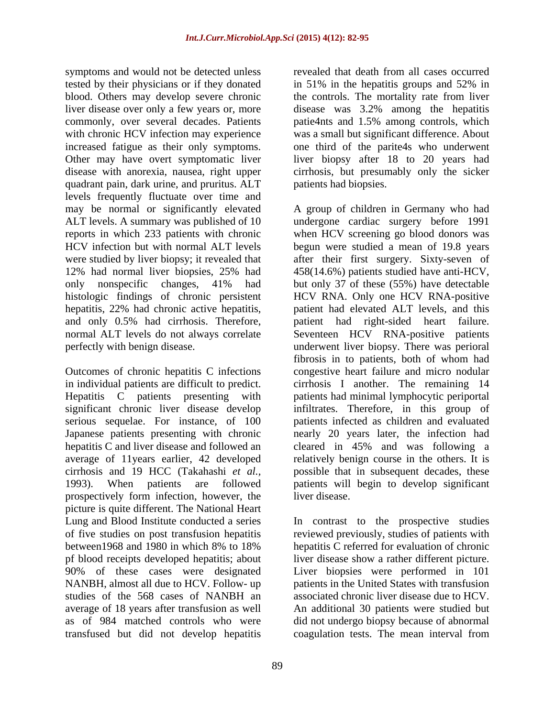symptoms and would not be detected unless tested by their physicians or if they donated in 51% in the hepatitis groups and 52% in blood. Others may develop severe chronic the controls. The mortality rate from liver liver disease over only a few years or, more disease was 3.2% among the hepatitis commonly, over several decades. Patients patie4nts and 1.5% among controls, which with chronic HCV infection may experience increased fatigue as their only symptoms. one third of the parite4s who underwent Other may have overt symptomatic liver liver biopsy after 18 to 20 years had disease with anorexia, nausea, right upper cirrhosis, but presumably only the sicker quadrant pain, dark urine, and pruritus. ALT levels frequently fluctuate over time and may be normal or significantly elevated A group of children in Germany who had ALT levels. A summary was published of 10 undergone cardiac surgery before 1991 reports in which 233 patients with chronic when HCV screening go blood donors was HCV infection but with normal ALT levels begun were studied a mean of 19.8 years were studied by liver biopsy; it revealed that after their first surgery. Sixty-seven of 12% had normal liver biopsies, 25% had only nonspecific changes, 41% had but only 37 of these (55%) have detectable histologic findings of chronic persistent hepatitis, 22% had chronic active hepatitis, patient had elevated ALT levels, and this and only 0.5% had cirrhosis. Therefore, patient had right-sided heart failure. normal ALT levels do not always correlate Seventeen HCV RNA-positive patients perfectly with benign disease. underwent liver biopsy. There was perioral

Outcomes of chronic hepatitis C infections in individual patients are difficult to predict. cirrhosis I another. The remaining 14 Hepatitis C patients presenting with significant chronic liver disease develop infiltrates. Therefore, in this group of serious sequelae. For instance, of 100 Japanese patients presenting with chronic nearly 20 years later, the infection had hepatitis C and liver disease and followed an cleared in 45% and was following a average of 11years earlier, 42 developed relatively benign course in the others. It is cirrhosis and 19 HCC (Takahashi *et al.,* possible that in subsequent decades, these 1993). When patients are followed patients will begin to develop significant prospectively form infection, however, the picture is quite different. The National Heart pf blood receipts developed hepatitis; about NANBH, almost all due to HCV. Follow- up studies of the 568 cases of NANBH an transfused but did not develop hepatitis coagulation tests. The mean interval from

was a small but significant difference. About patients had biopsies.

revealed that death from all cases occurred

in 51% in the hepatitis groups and 52% in

458(14.6%) patients studied have anti-HCV, HCV RNA. Only one HCV RNA-positive fibrosis in to patients, both of whom had congestive heart failure and micro nodular patients had minimal lymphocytic periportal patients infected as children and evaluated liver disease.

Lung and Blood Institute conducted a series In contrast to the prospective studies of five studies on post transfusion hepatitis reviewed previously, studies of patients with between1968 and 1980 in which 8% to 18% 90% of these cases were designated Liver biopsies were performed in 101 average of 18 years after transfusion as well An additional 30 patients were studied but as of 984 matched controls who were did not undergo biopsy because of abnormal hepatitis C referred for evaluation of chronic liver disease show a rather different picture. patients in the United States with transfusion associated chronic liver disease due to HCV.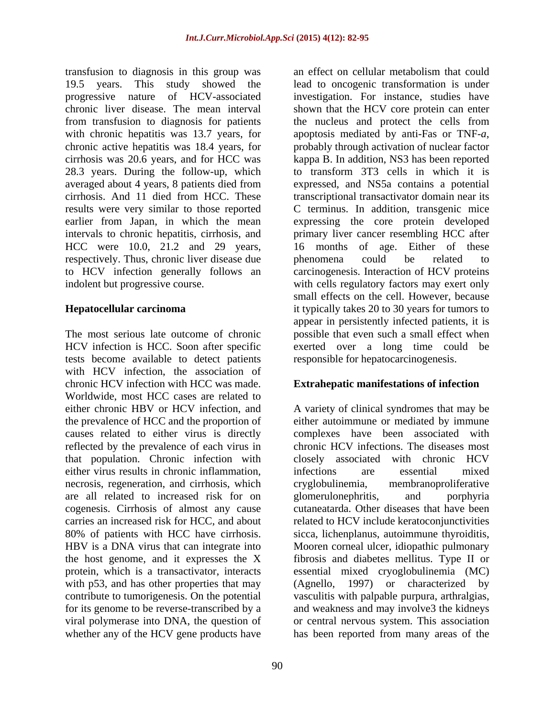transfusion to diagnosis in this group was 19.5 years. This study showed the lead to oncogenic transformation is under progressive nature of HCV-associated investigation. For instance, studies have chronic liver disease. The mean interval shown that the HCV core protein can enter from transfusion to diagnosis for patients the nucleus and protect the cells from with chronic hepatitis was 13.7 years, for apoptosis mediated by anti-Fas or TNF-a, chronic active hepatitis was 18.4 years, for probably through activation of nuclear factor cirrhosis was 20.6 years, and for HCC was kappa B. In addition, NS3 has been reported 28.3 years. During the follow-up, which averaged about 4 years, 8 patients died from cirrhosis. And 11 died from HCC. These transcriptional transactivator domain near its results were very similar to those reported earlier from Japan, in which the mean expressing the core protein developed intervals to chronic hepatitis, cirrhosis, and primary liver cancer resembling HCC after HCC were 10.0, 21.2 and 29 years, 16 months of age. Either of these respectively. Thus, chronic liver disease due behenomena could be related to to HCV infection generally follows an carcinogenesis. Interaction of HCV proteins indolent but progressive course. with cells regulatory factors may exert only

The most serious late outcome of chronic possible that even such a small effect when HCV infection is HCC. Soon after specific tests become available to detect patients with HCV infection, the association of chronic HCV infection with HCC was made. **Extrahepatic manifestations of infection** Worldwide, most HCC cases are related to either chronic HBV or HCV infection, and A variety of clinical syndromes that may be the prevalence of HCC and the proportion of causes related to either virus is directly complexes have been associated with reflected by the prevalence of each virus in that population. Chronic infection with either virus results in chronic inflammation, infections are essential mixed necrosis, regeneration, and cirrhosis, which are all related to increased risk for on cogenesis. Cirrhosis of almost any cause cutaneatarda. Other diseases that have been carries an increased risk for HCC, and about 80% of patients with HCC have cirrhosis. sicca, lichenplanus, autoimmune thyroiditis, HBV is a DNA virus that can integrate into Mooren corneal ulcer, idiopathic pulmonary the host genome, and it expresses the X fibrosis and diabetes mellitus. Type II or protein, which is a transactivator, interacts essential mixed cryoglobulinemia (N with p53, and has other properties that may (Agnello, 1997) or characterized with p53, and has other properties that may (Agnello, 1997) or characterized by contribute to tumorigenesis. On the potential vasculitis with palpable purpura, arthralgias, for its genome to be reverse-transcribed by a and weakness and may involve3 the kidneys viral polymerase into DNA, the question of or central nervous system. This association whether any of the HCV gene products have has been reported from many areas of the

**Hepatocellular carcinoma** it typically takes 20 to 30 years for tumors to an effect on cellular metabolism that could apoptosis mediated by anti-Fas or TNF-*a*, probably through activation of nuclear factor to transform 3T3 cells in which it is expressed, and NS5a contains a potential C terminus. In addition, transgenic mice phenomena could be related to small effects on the cell. However, because appear in persistently infected patients, it is exerted over a long time could be responsible for hepatocarcinogenesis.

either autoimmune or mediated by immune chronic HCV infections. The diseases most closely associated with chronic HCV infections are essential mixed cryglobulinemia, membranoproliferative glomerulonephritis, and porphyria related to HCV include keratoconjunctivities essential mixed cryoglobulinemia (MC) (Agnello, 1997) or characterized by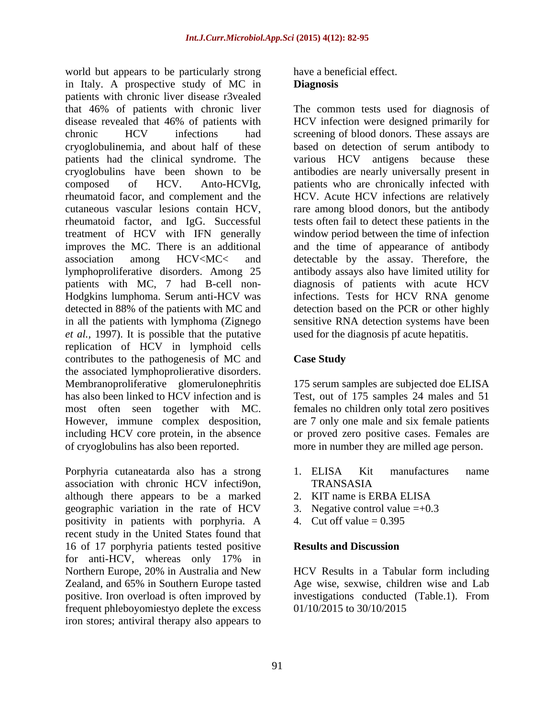world but appears to be particularly strong in Italy. A prospective study of MC in **Diagnosis** patients with chronic liver disease r3vealed that 46% of patients with chronic liver The common tests used for diagnosis of disease revealed that 46% of patients with HCV infection were designed primarily for chronic HCV infections had screening of blood donors. These assays are cryoglobulinemia, and about half of these based on detection of serum antibody to patients had the clinical syndrome. The cryoglobulins have been shown to be antibodies are nearly universally present in composed of HCV. Anto-HCVIg, patients who are chronically infected with rheumatoid facor, and complement and the HCV. Acute HCV infections are relatively cutaneous vascular lesions contain HCV, rare among blood donors, but the antibody rheumatoid factor, and IgG. Successful tests often fail to detect these patients in the treatment of HCV with IFN generally improves the MC. There is an additional and the time of appearance of antibody association among HCV<MC< and detectable by the assay. Therefore, the lymphoproliferative disorders. Among 25 antibody assays also have limited utility for patients with MC, 7 had B-cell non- diagnosis of patients with acute HCV Hodgkins lumphoma. Serum anti-HCV was infections. Tests for HCV RNA genome detected in 88% of the patients with MC and detection based on the PCR or other highly in all the patients with lymphoma (Zignego sensitive RNA detection systems have been *et al.,* 1997). It is possible that the putative replication of HCV in lymphoid cells contributes to the pathogenesis of MC and the associated lymphoprolierative disorders. Membranoproliferative glomerulonephritis 175 serum samples are subjected doe ELISA has also been linked to HCV infection and is Test, out of 175 samples 24 males and 51 most often seen together with MC. females no children only total zero positives<br>However, immune complex desposition, are 7 only one male and six female patients including HCV core protein, in the absence or proved zero positive cases. Females are of cryoglobulins has also been reported. more in number they are milled age person.

Porphyria cutaneatarda also has a strong association with chronic HCV infecti9on, although there appears to be a marked 2. KIT name is ERBA ELISA geographic variation in the rate of HCV positivity in patients with porphyria. A recent study in the United States found that 16 of 17 porphyria patients tested positive Results and Discussion for anti-HCV, whereas only 17% in Northern Europe, 20% in Australia and New Zealand, and 65% in Southern Europe tasted Age wise, sexwise, children wise and Lab positive. Iron overload is often improved by frequent phleboyomiestyo deplete the excess iron stores; antiviral therapy also appears to

### have a beneficial effect. **Diagnosis**

HCV infection were designed primarily for various HCV antigens because these window period between the time of infection used for the diagnosis pf acute hepatitis.

# **Case Study**

females no children only total zero positives are 7 only one male and six female patients

- 1. ELISA Kit manufactures name TRANSASIA
- 2. KIT name is ERBA ELISA
- 3. Negative control value  $=+0.3$
- 4. Cut off value  $= 0.395$

## **Results and Discussion**

HCV Results in a Tabular form including investigations conducted (Table.1). From 01/10/2015 to 30/10/2015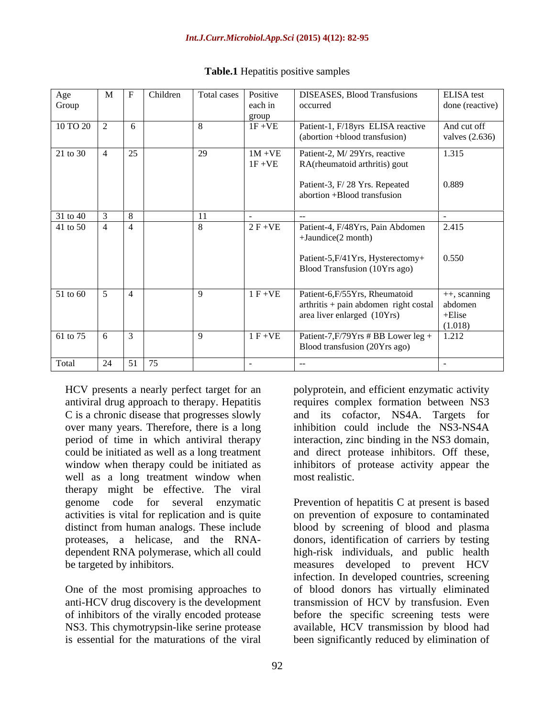| Age<br>Group                     | M | Children                 |                 | Total cases Positive<br>each in<br>group | <b>DISEASES</b> , Blood Transfusions<br>occurred                               | ELISA test<br>done (reactive)   |
|----------------------------------|---|--------------------------|-----------------|------------------------------------------|--------------------------------------------------------------------------------|---------------------------------|
| $10 \text{ TO } 20$ 2            |   | 6                        | $\overline{8}$  | $1F + VE$                                | Patient-1, F/18yrs ELISA reactive<br>(abortion +blood transfusion)             | And cut off<br>valves $(2.636)$ |
| $21 \text{ to } 30$ 4            |   | 25                       | $\overline{29}$ | $1M + VE$<br>$1F + VE$                   | Patient-2, M/29Yrs, reactive<br>RA(rheumatoid arthritis) gout                  | 1.315                           |
|                                  |   |                          |                 |                                          | Patient-3, F/28 Yrs. Repeated<br>abortion +Blood transfusion                   | 0.889                           |
| 31 to 40                         |   | $\begin{array}{ c c }$ 8 | 11              |                                          |                                                                                |                                 |
| 41 to 50 $\boxed{4}$ $\boxed{4}$ |   |                          | $\mathbf{R}$    | $2 F + VE$                               | Patient-4, F/48Yrs, Pain Abdomen<br>$+$ Jaundice(2 month)                      | 2.415                           |
|                                  |   |                          |                 |                                          | Patient-5, F/41 Yrs, Hysterectomy+<br>Blood Transfusion (10Yrs ago)            | 0.550                           |
| $51 \text{ to } 60$ 5            |   |                          | $\alpha$        | $1 F + VE$                               | Patient-6,F/55Yrs, Rheumatoid                                                  | ++, scanning                    |
|                                  |   |                          |                 |                                          | $arthritis + pain$ abdomen right costal abdomen<br>area liver enlarged (10Yrs) | +Elise<br>(1.018)               |
| 61 to 75 6 3                     |   |                          | $\Omega$        | $1 F + VE$                               | Patient-7,F/79Yrs # BB Lower leg +   1.212<br>Blood transfusion (20Yrs ago)    |                                 |
| Total                            |   | 24   51   75             |                 |                                          |                                                                                |                                 |

### **Table.1** Hepatitis positive samples

C is a chronic disease that progresses slowly over many years. Therefore, there is a long well as a long treatment window when most realistic. therapy might be effective. The viral activities is vital for replication and is quite

One of the most promising approaches to of inhibitors of the virally encoded protease NS3. This chymotrypsin-like serine protease

antiviral drug approach to therapy. Hepatitis requires complex formation between NS3 period of time in which antiviral therapy interaction, zinc binding in the NS3 domain, could be initiated as well as a long treatment and direct protease inhibitors. Off these, window when therapy could be initiated as inhibitors of protease activity appear the polyprotein, and efficient enzymatic activity and its cofactor, NS4A. Targets for inhibition could include the NS3-NS4A most realistic.

genome code for several enzymatic Prevention of hepatitis C at present is based distinct from human analogs. These include blood by screening of blood and plasma proteases, a helicase, and the RNA- donors, identification of carriers by testing dependent RNA polymerase, which all could high-risk individuals, and public health be targeted by inhibitors. measures developed to prevent HCV anti-HCV drug discovery is the development transmission of HCV by transfusion. Even is essential for the maturations of the viral been significantly reduced by elimination ofon prevention of exposure to contaminated infection. In developed countries, screening of blood donors has virtually eliminated before the specific screening tests were available, HCV transmission by blood had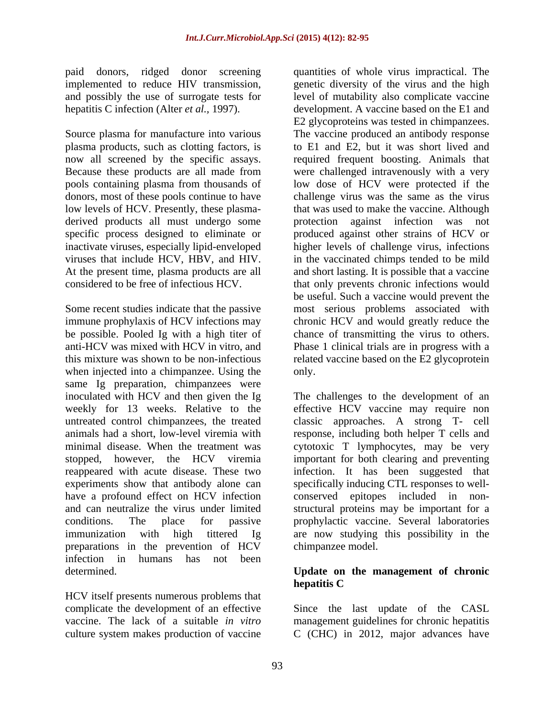and possibly the use of surrogate tests for

Source plasma for manufacture into various low levels of HCV. Presently, these plasma derived products all must undergo some brotection against infection was not inactivate viruses, especially lipid-enveloped<br>viruses that include HCV, HBV, and HIV.

Some recent studies indicate that the passive most serious problems associated with immune prophylaxis of HCV infections may chronic HCV and would greatly reduce the be possible. Pooled Ig with a high titer of chance of transmitting the virus to others. anti-HCV was mixed with HCV in vitro, and Phase 1 clinical trials are in progress with a this mixture was shown to be non-infectious related vaccine based on the E2 glycoprotein when injected into a chimpanzee. Using the only. same Ig preparation, chimpanzees were experiments show that antibody alone can have a profound effect on HCV infection conserved epitopes included in nonand can neutralize the virus under limited structural proteins may be important for a preparations in the prevention of HCV infection in humans has not been

HCV itself presents numerous problems that culture system makes production of vaccine C (CHC) in 2012, major advances have

paid donors, ridged donor screening quantities of whole virus impractical. The implemented to reduce HIV transmission, genetic diversity of the virus and the high hepatitis C infection (Alter *et al.,* 1997). development. A vaccine based on the E1 and plasma products, such as clotting factors, is to E1 and E2, but it was short lived and now all screened by the specific assays. required frequent boosting. Animals that Because these products are all made from were challenged intravenously with a very pools containing plasma from thousands of low dose of HCV were protected if the donors, most of these pools continue to have challenge virus was the same as the virus specific process designed to eliminate or produced against other strains of HCV or viruses that include HCV, HBV, and HIV. in the vaccinated chimps tended to be mild At the present time, plasma products are all and short lasting. It is possible that a vaccine considered to be free of infectious HCV. that only prevents chronic infections would level of mutability also complicate vaccine E2 glycoproteins was tested in chimpanzees. The vaccine produced an antibody response that was used to make the vaccine. Although protection against infection was higher levels of challenge virus, infections be useful. Such a vaccine would prevent the only.

inoculated with HCV and then given the Ig The challenges to the development of an weekly for 13 weeks. Relative to the effective HCV vaccine may require non untreated control chimpanzees, the treated classic approaches. A strong T- cell animals had a short, low-level viremia with response, including both helper T cells and minimal disease. When the treatment was cytotoxic T lymphocytes, may be very stopped, however, the HCV viremia important for both clearing and preventing reappeared with acute disease. These two infection. It has been suggested that conditions. The place for passive prophylactic vaccine. Several laboratories immunization with high tittered Ig are now studying this possibility in the specifically inducing CTL responses to well conserved epitopes included in non-structural proteins may be important for <sup>a</sup> chimpanzee model.

## determined. **Update on the management of chronic hepatitis C**

complicate the development of an effective Since the last update of the CASL vaccine. The lack of a suitable *in vitro* management guidelines for chronic hepatitis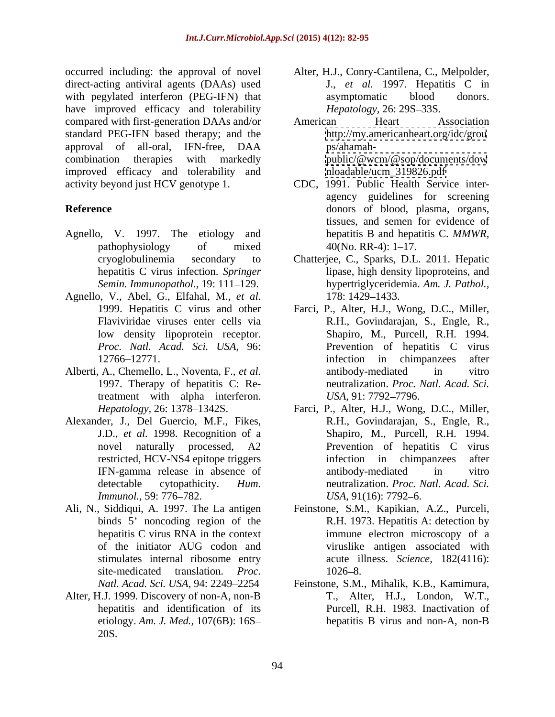occurred including: the approval of novel Alter, H.J., Conry-Cantilena, C., Melpolder, direct-acting antiviral agents (DAAs) used with pegylated interferon (PEG-IFN) that asymptomatic blood donors. have improved efficacy and tolerability *Hepatology*, 26: 29S–33S. compared with first-generation DAAs and/or standard PEG-IFN based therapy; and the approval of all-oral, IFN-free, DAA combination therapies with markedly public/@wcm/@sop/documents/dow improved efficacy and tolerability and activity beyond just HCV genotype 1. activity beyond just HCV genotype 1. CDC, 1991. Public Health Service inter-

- Agnello, V. 1997. The etiology and
- Agnello, V., Abel, G., Elfahal, M., *et al.*
- treatment with alpha interferon. USA, 91: 7792-7796.
- Alexander, J., Del Guercio, M.F., Fikes,
- 
- Alter, H.J. 1999. Discovery of non-A, non-B etiology. *Am. J. Med.,* 107(6B): 16S 20S.
- J., *et al.* 1997. Hepatitis C in asymptomatic blood donors. *Hepatology,* 26: 29S-33S.
- American Heart Association <http://my.americanheart.org/idc/grou> ps/ahamah <public/@wcm/@sop/documents/dow> [nloadable/ucm\\_319826.pdf](nloadable/ucm_319826.pdf)
- **Reference** donors of blood, plasma, organs, pathophysiology of mixed 40(No. RR-4): 1–17. agency guidelines for screening tissues, and semen for evidence of hepatitis B and hepatitis C. *MMWR,*  $40(No. RR-4): 1-17.$ 
	- cryoglobulinemia secondary to Chatterjee, C., Sparks, D.L. 2011. Hepatic hepatitis C virus infection. *Springer*  lipase, high density lipoproteins, and *Semin. Immunopathol.,* 19: 111 129. hypertriglyceridemia. *Am. J. Pathol.,* 178: 1429–1433.
- 1999. Hepatitis C virus and other Farci, P., Alter, H.J., Wong, D.C., Miller, Flaviviridae viruses enter cells via R.H., Govindarajan, S., Engle, R., low density lipoprotein receptor. Shapiro, M., Purcell, R.H. 1994. *Proc. Natl. Acad. Sci. USA,* 96: Prevention of hepatitis C virus 12766 12771. infection in chimpanzees after Alberti, A., Chemello, L., Noventa, F., *et al.* 1997. Therapy of hepatitis C: Re-neutralization. *Proc. Natl. Acad. Sci.* antibody-mediated in vitro *USA,* 91: 7792–7796.
	- *Hepatology,* 26: 1378–1342S. Farci, P., Alter, H.J., Wong, D.C., Miller, J.D., *et al.* 1998. Recognition of a Shapiro, M., Purcell, R.H. 1994. novel naturally processed, A2 Prevention of hepatitis C virus restricted, HCV-NS4 epitope triggers infection in chimpanzees after IFN-gamma release in absence of detectable cytopathicity. *Hum.*  neutralization. *Proc. Natl. Acad. Sci. Immunol.,* 59: 776–782. *Immunol.,* 59: 776–782. R.H., Govindarajan, S., Engle, R., infection in chimpanzees antibody-mediated in vitro *USA*, 91(16): 7792–6.
- Ali, N., Siddiqui, A. 1997. The La antigen Feinstone, S.M., Kapikian, A.Z., Purceli, binds 5' noncoding region of the R.H. 1973. Hepatitis A: detection by hepatitis C virus RNA in the context immune electron microscopy of a of the initiator AUG codon and viruslike antigen associated with stimulates internal ribosome entry acute illness. *Science,* 182(4116): site-medicated translation. *Proc.*  immune electron microscopy of a 1026–8.
	- *Natl. Acad. Sci. USA,* 94: 2249 2254 Feinstone, S.M., Mihalik, K.B., Kamimura, hepatitis and identification of its Purcell, R.H. 1983. Inactivation of T., Alter, H.J., London, W.T., hepatitis B virus and non-A, non-B